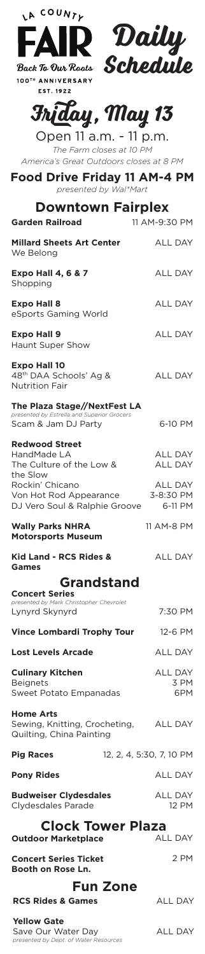| IA COUNTL                                                                                         |                                  |
|---------------------------------------------------------------------------------------------------|----------------------------------|
| FAIR <sup>.</sup>                                                                                 | Daily<br>Schedule                |
|                                                                                                   |                                  |
| Back To Our Roots<br>100TH ANNIVERSARY                                                            |                                  |
| EST. 1922                                                                                         |                                  |
| Friday, May 13                                                                                    |                                  |
| Open 11 a.m. - 11 p.m.                                                                            |                                  |
| The Farm closes at 10 PM<br>America's Great Outdoors closes at 8 PM                               |                                  |
| Food Drive Friday 11 AM-4 PM<br>presented by Wal*Mart                                             |                                  |
| <b>Downtown Fairplex</b>                                                                          |                                  |
| <b>Garden Railroad</b>                                                                            | 11 AM-9:30 PM                    |
| <b>Millard Sheets Art Center</b><br>We Belong                                                     | <b>ALL DAY</b>                   |
| <b>Expo Hall 4, 6 &amp; 7</b><br>Shopping                                                         | <b>ALL DAY</b>                   |
| <b>Expo Hall 8</b><br>eSports Gaming World                                                        | <b>ALL DAY</b>                   |
| <b>Expo Hall 9</b><br>Haunt Super Show                                                            | <b>ALL DAY</b>                   |
| <b>Expo Hall 10</b><br>48th DAA Schools' Ag &<br><b>Nutrition Fair</b>                            | <b>ALL DAY</b>                   |
| The Plaza Stage//NextFest LA<br>presented by Estrella and Superior Grocers<br>Scam & Jam DJ Party | 6-10 PM                          |
| <b>Redwood Street</b><br>HandMade LA<br>The Culture of the Low &                                  | <b>ALL DAY</b><br><b>ALL DAY</b> |
| the Slow<br>Rockin' Chicano<br>Von Hot Rod Appearance<br>DJ Vero Soul & Ralphie Groove            | ALL DAY<br>3-8:30 PM<br>6-11 PM  |
| <b>Wally Parks NHRA</b><br><b>Motorsports Museum</b>                                              | 11 AM-8 PM                       |
| Kid Land - RCS Rides &<br>Games                                                                   | <b>ALL DAY</b>                   |
| <b>Grandstand</b>                                                                                 |                                  |
| <b>Concert Series</b><br>presented by Mark Christopher Chevrolet                                  |                                  |
| Lynyrd Skynyrd                                                                                    | 7:30 PM                          |
| <b>Vince Lombardi Trophy Tour</b>                                                                 | 12-6 PM                          |
| <b>Lost Levels Arcade</b>                                                                         | ALL DAY<br><b>ALL DAY</b>        |
| <b>Culinary Kitchen</b><br><b>Beignets</b><br><b>Sweet Potato Empanadas</b>                       | 3 PM<br>6PM                      |
| Home Arts<br>Sewing, Knitting, Crocheting,<br>Quilting, China Painting                            | <b>ALL DAY</b>                   |
| <b>Pig Races</b>                                                                                  | 12, 2, 4, 5:30, 7, 10 PM         |
| <b>Pony Rides</b>                                                                                 | <b>ALL DAY</b>                   |
| <b>Budweiser Clydesdales</b><br>Clydesdales Parade                                                | <b>ALL DAY</b><br>12 PM          |
| <b>Clock Tower Plaza</b><br><b>Outdoor Marketplace</b>                                            | <b>ALL DAY</b>                   |
| <b>Concert Series Ticket</b><br>Booth on Rose Ln.                                                 | 2 PM                             |
| <b>Fun Zone</b>                                                                                   |                                  |
| <b>RCS Rides &amp; Games</b><br><b>Yellow Gate</b>                                                | <b>ALL DAY</b>                   |
|                                                                                                   |                                  |

Save Our Water Day *presented by Dept. of Water Resources*

ALL DAY